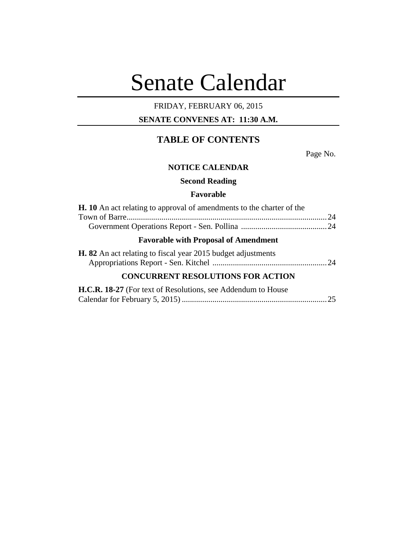# Senate Calendar

# FRIDAY, FEBRUARY 06, 2015

## **SENATE CONVENES AT: 11:30 A.M.**

# **TABLE OF CONTENTS**

Page No.

#### **NOTICE CALENDAR**

**Second Reading**

### **Favorable**

| <b>H.</b> 10 An act relating to approval of amendments to the charter of the |  |
|------------------------------------------------------------------------------|--|
|                                                                              |  |
|                                                                              |  |
| <b>Favorable with Proposal of Amendment</b>                                  |  |
| <b>H. 82</b> An act relating to fiscal year 2015 budget adjustments          |  |
| <b>CONCURRENT RESOLUTIONS FOR ACTION</b>                                     |  |
|                                                                              |  |

| H.C.R. 18-27 (For text of Resolutions, see Addendum to House |  |
|--------------------------------------------------------------|--|
|                                                              |  |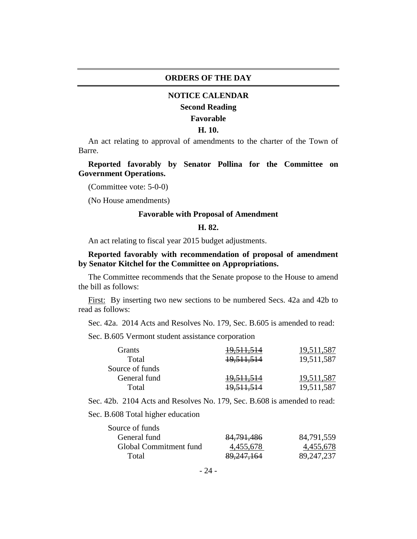#### **ORDERS OF THE DAY**

#### **NOTICE CALENDAR**

#### **Second Reading**

#### **Favorable**

#### **H. 10.**

An act relating to approval of amendments to the charter of the Town of Barre.

**Reported favorably by Senator Pollina for the Committee on Government Operations.**

(Committee vote: 5-0-0)

(No House amendments)

#### **Favorable with Proposal of Amendment**

#### **H. 82.**

An act relating to fiscal year 2015 budget adjustments.

#### **Reported favorably with recommendation of proposal of amendment by Senator Kitchel for the Committee on Appropriations.**

The Committee recommends that the Senate propose to the House to amend the bill as follows:

First: By inserting two new sections to be numbered Secs. 42a and 42b to read as follows:

Sec. 42a. 2014 Acts and Resolves No. 179, Sec. B.605 is amended to read:

Sec. B.605 Vermont student assistance corporation

| <b>Grants</b>   | <del>19,511,514</del> | 19,511,587 |
|-----------------|-----------------------|------------|
| Total           | 19,511,514            | 19,511,587 |
| Source of funds |                       |            |
| General fund    | 19,511,514            | 19,511,587 |
| Total           | <del>19,511,514</del> | 19,511,587 |

Sec. 42b. 2104 Acts and Resolves No. 179, Sec. B.608 is amended to read:

Sec. B.608 Total higher education

| Source of funds        |              |              |
|------------------------|--------------|--------------|
| General fund           | 84,791,486   | 84,791,559   |
| Global Commitment fund | 4,455,678    | 4,455,678    |
| Total                  | 89, 247, 164 | 89, 247, 237 |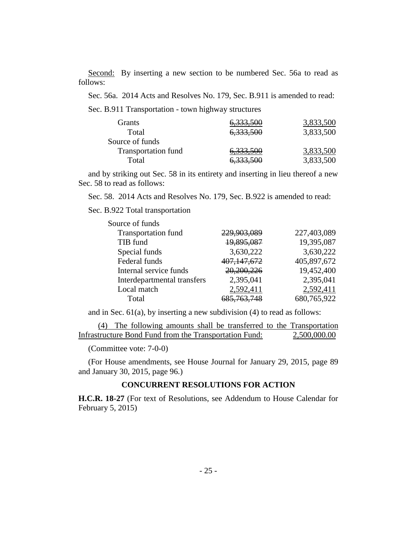Second: By inserting a new section to be numbered Sec. 56a to read as follows:

Sec. 56a. 2014 Acts and Resolves No. 179, Sec. B.911 is amended to read:

Sec. B.911 Transportation - town highway structures

| Grants                     | 6,333,500            | 3,833,500 |
|----------------------------|----------------------|-----------|
| Total                      | 6,333,500            | 3,833,500 |
| Source of funds            |                      |           |
| <b>Transportation fund</b> | 6,333,500            | 3,833,500 |
| Total                      | <del>6,333,500</del> | 3,833,500 |

and by striking out Sec. 58 in its entirety and inserting in lieu thereof a new Sec. 58 to read as follows:

Sec. 58. 2014 Acts and Resolves No. 179, Sec. B.922 is amended to read:

Sec. B.922 Total transportation

| Source of funds             |                        |             |
|-----------------------------|------------------------|-------------|
| <b>Transportation fund</b>  | 229,903,089            | 227,403,089 |
| TIB fund                    | 19,895,087             | 19,395,087  |
| Special funds               | 3,630,222              | 3,630,222   |
| Federal funds               | 407, 147, 672          | 405,897,672 |
| Internal service funds      | 20,200,226             | 19,452,400  |
| Interdepartmental transfers | 2,395,041              | 2,395,041   |
| Local match                 | 2,592,411              | 2,592,411   |
| Total                       | <del>685,763,748</del> | 680,765,922 |

and in Sec.  $61(a)$ , by inserting a new subdivision (4) to read as follows:

(4) The following amounts shall be transferred to the Transportation Infrastructure Bond Fund from the Transportation Fund: 2,500,000.00

(Committee vote: 7-0-0)

(For House amendments, see House Journal for January 29, 2015, page 89 and January 30, 2015, page 96.)

#### **CONCURRENT RESOLUTIONS FOR ACTION**

**H.C.R. 18-27** (For text of Resolutions, see Addendum to House Calendar for February 5, 2015)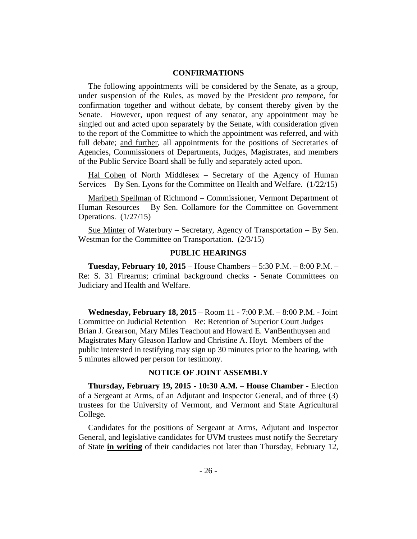#### **CONFIRMATIONS**

The following appointments will be considered by the Senate, as a group, under suspension of the Rules, as moved by the President *pro tempore,* for confirmation together and without debate, by consent thereby given by the Senate. However, upon request of any senator, any appointment may be singled out and acted upon separately by the Senate, with consideration given to the report of the Committee to which the appointment was referred, and with full debate; and further, all appointments for the positions of Secretaries of Agencies, Commissioners of Departments, Judges, Magistrates, and members of the Public Service Board shall be fully and separately acted upon.

Hal Cohen of North Middlesex – Secretary of the Agency of Human Services – By Sen. Lyons for the Committee on Health and Welfare. (1/22/15)

Maribeth Spellman of Richmond – Commissioner, Vermont Department of Human Resources – By Sen. Collamore for the Committee on Government Operations. (1/27/15)

Sue Minter of Waterbury – Secretary, Agency of Transportation – By Sen. Westman for the Committee on Transportation. (2/3/15)

#### **PUBLIC HEARINGS**

**Tuesday, February 10, 2015** – House Chambers – 5:30 P.M. – 8:00 P.M. – Re: S. 31 Firearms; criminal background checks - Senate Committees on Judiciary and Health and Welfare.

**Wednesday, February 18, 2015** – Room 11 - 7:00 P.M. – 8:00 P.M. - Joint Committee on Judicial Retention – Re: Retention of Superior Court Judges Brian J. Grearson, Mary Miles Teachout and Howard E. VanBenthuysen and Magistrates Mary Gleason Harlow and Christine A. Hoyt. Members of the public interested in testifying may sign up 30 minutes prior to the hearing, with 5 minutes allowed per person for testimony.

#### **NOTICE OF JOINT ASSEMBLY**

**Thursday, February 19, 2015 - 10:30 A.M.** – **House Chamber -** Election of a Sergeant at Arms, of an Adjutant and Inspector General, and of three (3) trustees for the University of Vermont, and Vermont and State Agricultural College.

Candidates for the positions of Sergeant at Arms, Adjutant and Inspector General, and legislative candidates for UVM trustees must notify the Secretary of State **in writing** of their candidacies not later than Thursday, February 12,